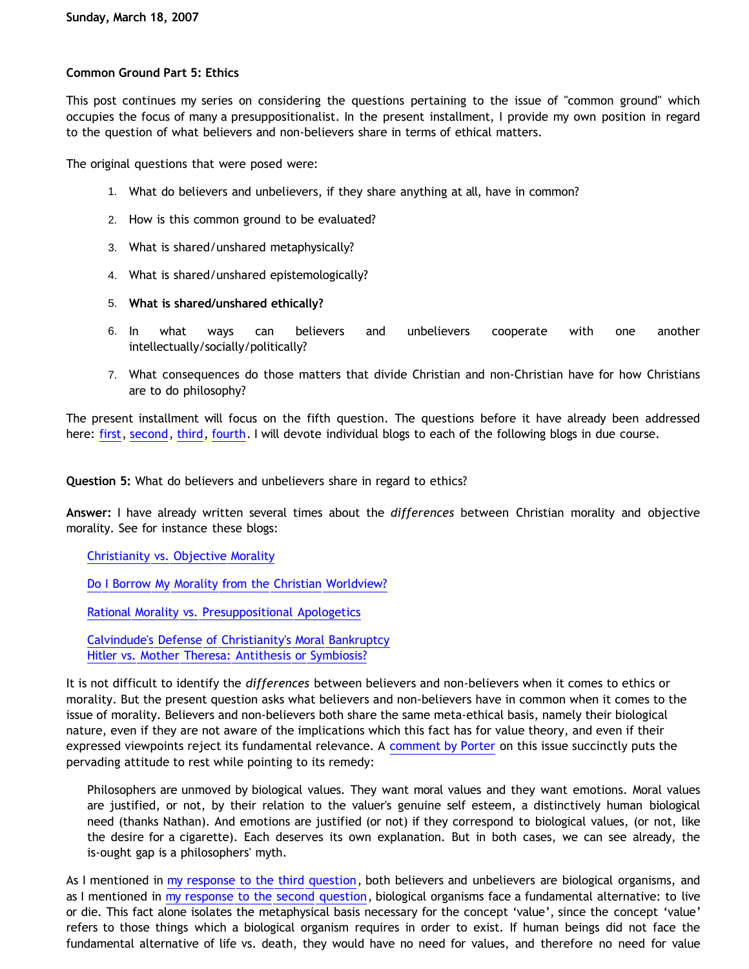## **Common Ground Part 5: Ethics**

This post continues my series on considering the questions pertaining to the issue of "common ground" which occupies the focus of many a presuppositionalist. In the present installment, I provide my own position in regard to the question of what believers and non-believers share in terms of ethical matters.

The original questions that were posed were:

- 1. What do believers and unbelievers, if they share anything at all, have in common?
- 2. How is this common ground to be evaluated?
- 3. What is shared/unshared metaphysically?
- 4. What is shared/unshared epistemologically?
- 5. **What is shared/unshared ethically?**
- 6. In what ways can believers and unbelievers cooperate with one another intellectually/socially/politically?
- 7. What consequences do those matters that divide Christian and non-Christian have for how Christians are to do philosophy?

The present installment will focus on the fifth question. The questions before it have already been addressed here: [first,](http://bahnsenburner.blogspot.com/2007/01/common-ground.html) [second](http://bahnsenburner.blogspot.com/2007/03/common-ground-part-2-standard-of.html), [third,](http://bahnsenburner.blogspot.com/2007/03/common-ground-part-3-metaphysics.html) [fourth.](http://bahnsenburner.blogspot.com/2007/03/common-ground-part-4-epistemology.html) I will devote individual blogs to each of the following blogs in due course.

**Question 5:** What do believers and unbelievers share in regard to ethics?

**Answer:** I have already written several times about the *differences* between Christian morality and objective morality. See for instance these blogs:

[Christianity vs. Objective Morality](http://bahnsenburner.blogspot.com/2005/03/christianity-vs-objective-morality.html)

[Do I Borrow My Morality from the Christian Worldview?](http://bahnsenburner.blogspot.com/2005/04/do-i-borrow-my-morality-from-christian.html)

[Rational Morality vs. Presuppositional Apologetics](http://bahnsenburner.blogspot.com/2006/03/rational-morality-vs-presuppositional.html)

[Calvindude's Defense of Christianity's Moral Bankruptcy](http://bahnsenburner.blogspot.com/2006/03/calvindudes-defense-of-christianitys.html) [Hitler vs. Mother Theresa: Antithesis or Symbiosis?](http://bahnsenburner.blogspot.com/2006/04/hitler-vs-mother-theresa-antithesis-or.html)

It is not difficult to identify the *differences* between believers and non-believers when it comes to ethics or morality. But the present question asks what believers and non-believers have in common when it comes to the issue of morality. Believers and non-believers both share the same meta-ethical basis, namely their biological nature, even if they are not aware of the implications which this fact has for value theory, and even if their expressed viewpoints reject its fundamental relevance. A [comment by Porter](http://www.aynrandstheofknowledge.com/errata/is-and-ought.html) on this issue succinctly puts the pervading attitude to rest while pointing to its remedy:

Philosophers are unmoved by biological values. They want moral values and they want emotions. Moral values are justified, or not, by their relation to the valuer's genuine self esteem, a distinctively human biological need (thanks Nathan). And emotions are justified (or not) if they correspond to biological values, (or not, like the desire for a cigarette). Each deserves its own explanation. But in both cases, we can see already, the is-ought gap is a philosophers' myth.

As I mentioned in [my response to the third question](http://bahnsenburner.blogspot.com/2007/03/common-ground-part-3-metaphysics.html), both believers and unbelievers are biological organisms, and as I mentioned in [my response to the second question,](http://bahnsenburner.blogspot.com/2007/03/common-ground-part-2-standard-of.html) biological organisms face a fundamental alternative: to live or die. This fact alone isolates the metaphysical basis necessary for the concept 'value', since the concept 'value' refers to those things which a biological organism requires in order to exist. If human beings did not face the fundamental alternative of life vs. death, they would have no need for values, and therefore no need for value